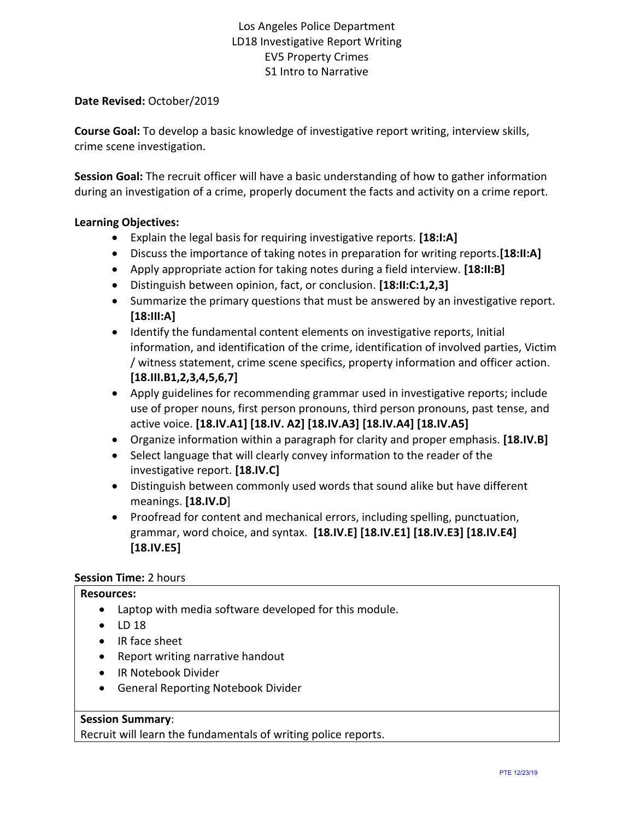### **Date Revised:** October/2019

**Course Goal:** To develop a basic knowledge of investigative report writing, interview skills, crime scene investigation.

**Session Goal:** The recruit officer will have a basic understanding of how to gather information during an investigation of a crime, properly document the facts and activity on a crime report.

### **Learning Objectives:**

- Explain the legal basis for requiring investigative reports. **[18:I:A]**
- Discuss the importance of taking notes in preparation for writing reports.**[18:II:A]**
- Apply appropriate action for taking notes during a field interview. **[18:II:B]**
- Distinguish between opinion, fact, or conclusion. **[18:II:C:1,2,3]**
- Summarize the primary questions that must be answered by an investigative report. **[18:III:A]**
- Identify the fundamental content elements on investigative reports, Initial information, and identification of the crime, identification of involved parties, Victim / witness statement, crime scene specifics, property information and officer action. **[18.III.B1,2,3,4,5,6,7]**
- Apply guidelines for recommending grammar used in investigative reports; include use of proper nouns, first person pronouns, third person pronouns, past tense, and active voice. **[18.IV.A1] [18.IV. A2] [18.IV.A3] [18.IV.A4] [18.IV.A5]**
- Organize information within a paragraph for clarity and proper emphasis. **[18.IV.B]**
- Select language that will clearly convey information to the reader of the investigative report. **[18.IV.C]**
- Distinguish between commonly used words that sound alike but have different meanings. **[18.IV.D**]
- Proofread for content and mechanical errors, including spelling, punctuation, grammar, word choice, and syntax. **[18.IV.E] [18.IV.E1] [18.IV.E3] [18.IV.E4] [18.IV.E5]**

### **Session Time:** 2 hours

#### **Resources:**

- Laptop with media software developed for this module.
- $\bullet$  LD 18
- IR face sheet
- Report writing narrative handout
- IR Notebook Divider
- General Reporting Notebook Divider

### **Session Summary**:

Recruit will learn the fundamentals of writing police reports.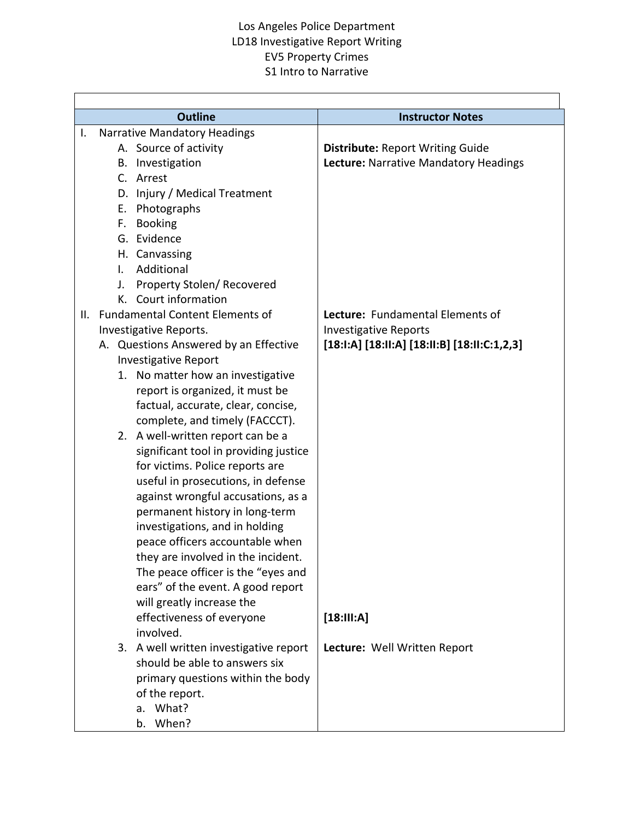$\overline{\mathsf{I}}$ 

 $\overline{\Gamma}$ 

|    | <b>Outline</b>                                                           | <b>Instructor Notes</b>                      |
|----|--------------------------------------------------------------------------|----------------------------------------------|
| I. | Narrative Mandatory Headings                                             |                                              |
|    | A. Source of activity                                                    | <b>Distribute: Report Writing Guide</b>      |
|    | B. Investigation                                                         | Lecture: Narrative Mandatory Headings        |
|    | C. Arrest                                                                |                                              |
|    | D. Injury / Medical Treatment                                            |                                              |
|    | E. Photographs                                                           |                                              |
|    | F. Booking                                                               |                                              |
|    | G. Evidence                                                              |                                              |
|    | H. Canvassing                                                            |                                              |
|    | Additional<br>I.                                                         |                                              |
|    | Property Stolen/ Recovered<br>J.                                         |                                              |
|    | K. Court information                                                     |                                              |
| Ш. | <b>Fundamental Content Elements of</b>                                   | Lecture: Fundamental Elements of             |
|    | Investigative Reports.                                                   | <b>Investigative Reports</b>                 |
|    | A. Questions Answered by an Effective                                    | [18:I:A] [18:II:A] [18:II:B] [18:II:C:1,2,3] |
|    | <b>Investigative Report</b>                                              |                                              |
|    | 1. No matter how an investigative                                        |                                              |
|    | report is organized, it must be                                          |                                              |
|    | factual, accurate, clear, concise,                                       |                                              |
|    | complete, and timely (FACCCT).                                           |                                              |
|    | 2. A well-written report can be a                                        |                                              |
|    | significant tool in providing justice                                    |                                              |
|    | for victims. Police reports are                                          |                                              |
|    | useful in prosecutions, in defense<br>against wrongful accusations, as a |                                              |
|    | permanent history in long-term                                           |                                              |
|    | investigations, and in holding                                           |                                              |
|    | peace officers accountable when                                          |                                              |
|    | they are involved in the incident.                                       |                                              |
|    | The peace officer is the "eyes and                                       |                                              |
|    | ears" of the event. A good report                                        |                                              |
|    | will greatly increase the                                                |                                              |
|    | effectiveness of everyone                                                | [18:III:A]                                   |
|    | involved.                                                                |                                              |
|    | 3. A well written investigative report                                   | Lecture: Well Written Report                 |
|    | should be able to answers six                                            |                                              |
|    | primary questions within the body                                        |                                              |
|    | of the report.                                                           |                                              |
|    | What?<br>a.                                                              |                                              |
|    | b. When?                                                                 |                                              |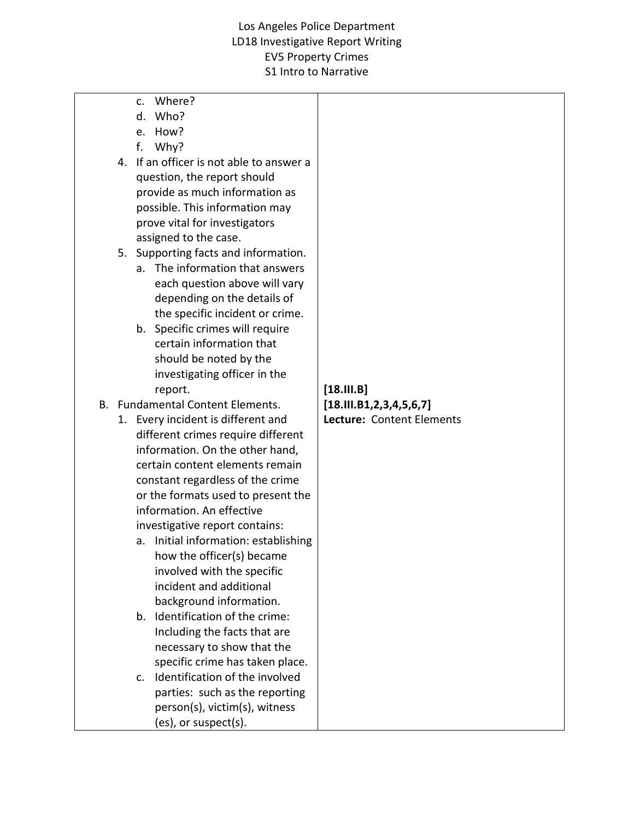- c. Where?
- d. Who?
- e. How?
- f. Why?
- 4. If an officer is not able to answer a question, the report should provide as much information as possible. This information may prove vital for investigators assigned to the case.
- 5. Supporting facts and information.
	- a. The information that answers each question above will vary depending on the details of the specific incident or crime.
	- b. Specific crimes will require certain information that should be noted by the investigating officer in the report.
- B. Fundamental Content Elements.
	- 1. Every incident is different and different crimes require different information. On the other hand, certain content elements remain constant regardless of the crime or the formats used to present the information. An effective investigative report contains:
		- a. Initial information: establishing how the officer(s) became involved with the specific incident and additional background information.
		- b. Identification of the crime: Including the facts that are necessary to show that the specific crime has taken place.
		- c. Identification of the involved parties: such as the reporting person(s), victim(s), witness (es), or suspect(s).

### **[18.III.B] [18.III.B1,2,3,4,5,6,7] Lecture:** Content Elements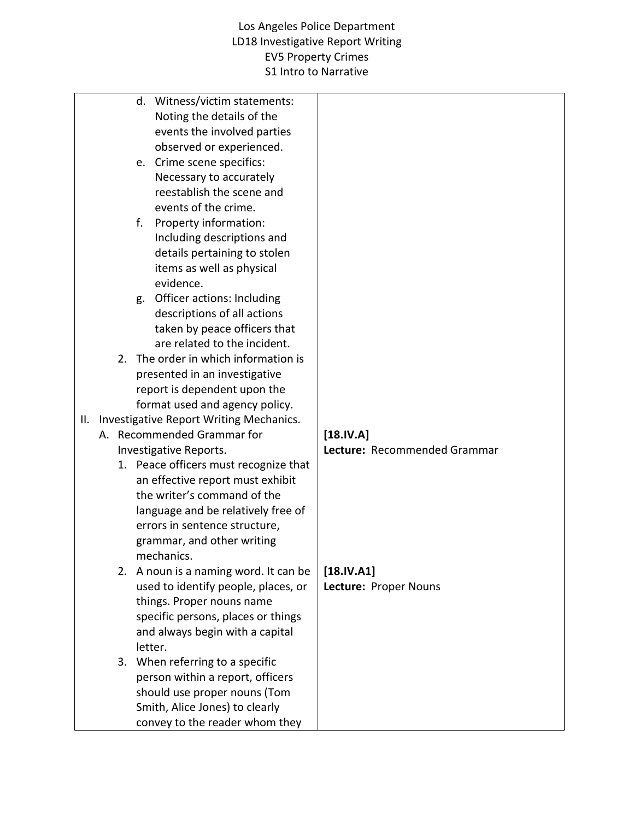|                        |    | d. Witness/victim statements:<br>Noting the details of the<br>events the involved parties |                              |
|------------------------|----|-------------------------------------------------------------------------------------------|------------------------------|
|                        |    | observed or experienced.<br>e. Crime scene specifics:                                     |                              |
|                        |    | Necessary to accurately<br>reestablish the scene and                                      |                              |
|                        |    | events of the crime.<br>Property information:<br>f.                                       |                              |
|                        |    | Including descriptions and                                                                |                              |
|                        |    | details pertaining to stolen                                                              |                              |
|                        |    | items as well as physical                                                                 |                              |
|                        |    | evidence.                                                                                 |                              |
|                        |    | g. Officer actions: Including                                                             |                              |
|                        |    | descriptions of all actions                                                               |                              |
|                        |    | taken by peace officers that                                                              |                              |
|                        |    | are related to the incident.                                                              |                              |
|                        |    | 2. The order in which information is                                                      |                              |
|                        |    | presented in an investigative<br>report is dependent upon the                             |                              |
|                        |    | format used and agency policy.                                                            |                              |
| II. I                  |    | Investigative Report Writing Mechanics.                                                   |                              |
|                        |    | A. Recommended Grammar for                                                                | [18.1V.A]                    |
| Investigative Reports. |    |                                                                                           | Lecture: Recommended Grammar |
|                        |    | 1. Peace officers must recognize that                                                     |                              |
|                        |    | an effective report must exhibit                                                          |                              |
|                        |    | the writer's command of the                                                               |                              |
|                        |    | language and be relatively free of                                                        |                              |
|                        |    | errors in sentence structure,<br>grammar, and other writing                               |                              |
|                        |    | mechanics.                                                                                |                              |
|                        | 2. | A noun is a naming word. It can be                                                        | $[18.$                       |
|                        |    | used to identify people, places, or                                                       | Lecture: Proper Nouns        |
|                        |    | things. Proper nouns name                                                                 |                              |
|                        |    | specific persons, places or things                                                        |                              |
|                        |    | and always begin with a capital                                                           |                              |
|                        |    | letter.                                                                                   |                              |
|                        |    | 3. When referring to a specific                                                           |                              |
|                        |    | person within a report, officers                                                          |                              |
|                        |    | should use proper nouns (Tom<br>Smith, Alice Jones) to clearly                            |                              |
|                        |    | convey to the reader whom they                                                            |                              |
|                        |    |                                                                                           |                              |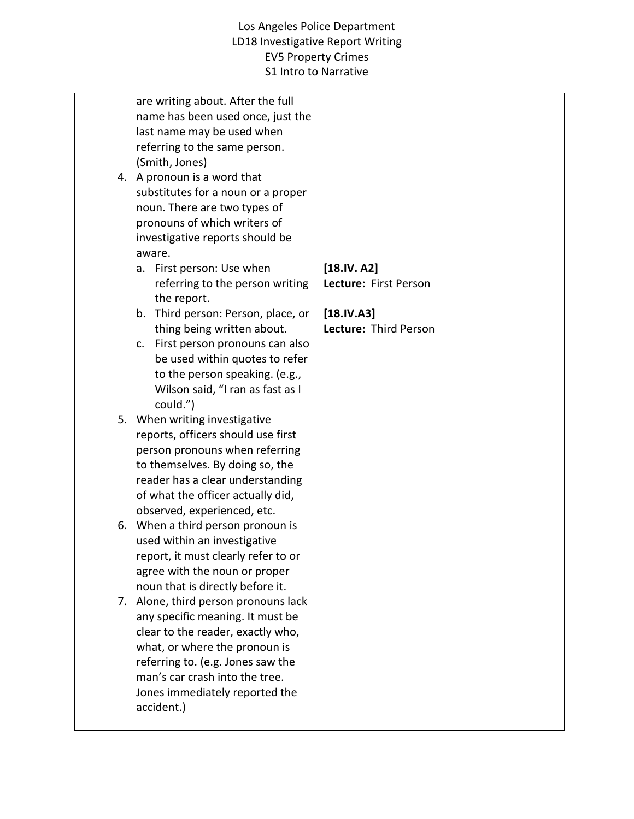|  | are writing about. After the full<br>name has been used once, just the<br>last name may be used when<br>referring to the same person.<br>(Smith, Jones)<br>4. A pronoun is a word that<br>substitutes for a noun or a proper<br>noun. There are two types of<br>pronouns of which writers of<br>investigative reports should be<br>aware.<br>a. First person: Use when<br>referring to the person writing<br>the report.<br>b. Third person: Person, place, or<br>thing being written about.<br>c. First person pronouns can also<br>be used within quotes to refer<br>to the person speaking. (e.g.,<br>Wilson said, "I ran as fast as I<br>could.")<br>5. When writing investigative<br>reports, officers should use first<br>person pronouns when referring<br>to themselves. By doing so, the<br>reader has a clear understanding | [18.IV. A2]<br>Lecture: First Person<br>$[18.IV.A3]$<br>Lecture: Third Person |
|--|---------------------------------------------------------------------------------------------------------------------------------------------------------------------------------------------------------------------------------------------------------------------------------------------------------------------------------------------------------------------------------------------------------------------------------------------------------------------------------------------------------------------------------------------------------------------------------------------------------------------------------------------------------------------------------------------------------------------------------------------------------------------------------------------------------------------------------------|-------------------------------------------------------------------------------|
|  |                                                                                                                                                                                                                                                                                                                                                                                                                                                                                                                                                                                                                                                                                                                                                                                                                                       |                                                                               |
|  |                                                                                                                                                                                                                                                                                                                                                                                                                                                                                                                                                                                                                                                                                                                                                                                                                                       |                                                                               |
|  |                                                                                                                                                                                                                                                                                                                                                                                                                                                                                                                                                                                                                                                                                                                                                                                                                                       |                                                                               |
|  |                                                                                                                                                                                                                                                                                                                                                                                                                                                                                                                                                                                                                                                                                                                                                                                                                                       |                                                                               |
|  |                                                                                                                                                                                                                                                                                                                                                                                                                                                                                                                                                                                                                                                                                                                                                                                                                                       |                                                                               |
|  |                                                                                                                                                                                                                                                                                                                                                                                                                                                                                                                                                                                                                                                                                                                                                                                                                                       |                                                                               |
|  |                                                                                                                                                                                                                                                                                                                                                                                                                                                                                                                                                                                                                                                                                                                                                                                                                                       |                                                                               |
|  |                                                                                                                                                                                                                                                                                                                                                                                                                                                                                                                                                                                                                                                                                                                                                                                                                                       |                                                                               |
|  | of what the officer actually did,                                                                                                                                                                                                                                                                                                                                                                                                                                                                                                                                                                                                                                                                                                                                                                                                     |                                                                               |
|  | observed, experienced, etc.                                                                                                                                                                                                                                                                                                                                                                                                                                                                                                                                                                                                                                                                                                                                                                                                           |                                                                               |
|  | 6. When a third person pronoun is                                                                                                                                                                                                                                                                                                                                                                                                                                                                                                                                                                                                                                                                                                                                                                                                     |                                                                               |
|  | used within an investigative                                                                                                                                                                                                                                                                                                                                                                                                                                                                                                                                                                                                                                                                                                                                                                                                          |                                                                               |
|  | report, it must clearly refer to or<br>agree with the noun or proper                                                                                                                                                                                                                                                                                                                                                                                                                                                                                                                                                                                                                                                                                                                                                                  |                                                                               |
|  | noun that is directly before it.                                                                                                                                                                                                                                                                                                                                                                                                                                                                                                                                                                                                                                                                                                                                                                                                      |                                                                               |
|  | 7. Alone, third person pronouns lack                                                                                                                                                                                                                                                                                                                                                                                                                                                                                                                                                                                                                                                                                                                                                                                                  |                                                                               |
|  | any specific meaning. It must be                                                                                                                                                                                                                                                                                                                                                                                                                                                                                                                                                                                                                                                                                                                                                                                                      |                                                                               |
|  | clear to the reader, exactly who,                                                                                                                                                                                                                                                                                                                                                                                                                                                                                                                                                                                                                                                                                                                                                                                                     |                                                                               |
|  | what, or where the pronoun is                                                                                                                                                                                                                                                                                                                                                                                                                                                                                                                                                                                                                                                                                                                                                                                                         |                                                                               |
|  | referring to. (e.g. Jones saw the<br>man's car crash into the tree.                                                                                                                                                                                                                                                                                                                                                                                                                                                                                                                                                                                                                                                                                                                                                                   |                                                                               |
|  | Jones immediately reported the                                                                                                                                                                                                                                                                                                                                                                                                                                                                                                                                                                                                                                                                                                                                                                                                        |                                                                               |
|  | accident.)                                                                                                                                                                                                                                                                                                                                                                                                                                                                                                                                                                                                                                                                                                                                                                                                                            |                                                                               |
|  |                                                                                                                                                                                                                                                                                                                                                                                                                                                                                                                                                                                                                                                                                                                                                                                                                                       |                                                                               |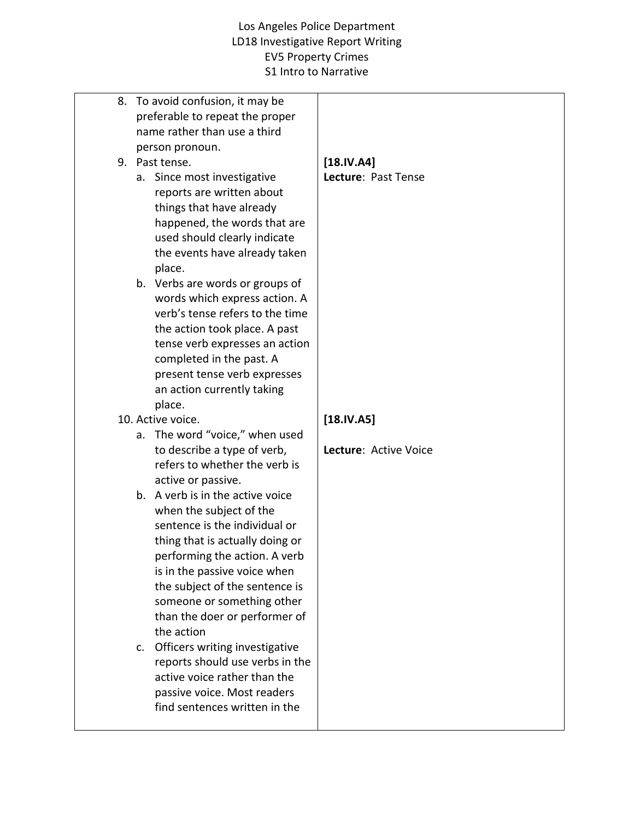|  | 8. To avoid confusion, it may be<br>preferable to repeat the proper<br>name rather than use a third<br>person pronoun.                                                                                                                                                                                          |                               |
|--|-----------------------------------------------------------------------------------------------------------------------------------------------------------------------------------------------------------------------------------------------------------------------------------------------------------------|-------------------------------|
|  | 9. Past tense.                                                                                                                                                                                                                                                                                                  | $[18.$<br>Lecture: Past Tense |
|  | a. Since most investigative<br>reports are written about<br>things that have already<br>happened, the words that are<br>used should clearly indicate<br>the events have already taken<br>place.                                                                                                                 |                               |
|  | b. Verbs are words or groups of<br>words which express action. A<br>verb's tense refers to the time<br>the action took place. A past<br>tense verb expresses an action<br>completed in the past. A<br>present tense verb expresses<br>an action currently taking<br>place.                                      |                               |
|  | 10. Active voice.                                                                                                                                                                                                                                                                                               | $[18.1V.A5]$                  |
|  | a. The word "voice," when used                                                                                                                                                                                                                                                                                  |                               |
|  | to describe a type of verb,<br>refers to whether the verb is<br>active or passive.                                                                                                                                                                                                                              | Lecture: Active Voice         |
|  | b. A verb is in the active voice<br>when the subject of the<br>sentence is the individual or<br>thing that is actually doing or<br>performing the action. A verb<br>is in the passive voice when<br>the subject of the sentence is<br>someone or something other<br>than the doer or performer of<br>the action |                               |
|  | c. Officers writing investigative<br>reports should use verbs in the<br>active voice rather than the<br>passive voice. Most readers<br>find sentences written in the                                                                                                                                            |                               |
|  |                                                                                                                                                                                                                                                                                                                 |                               |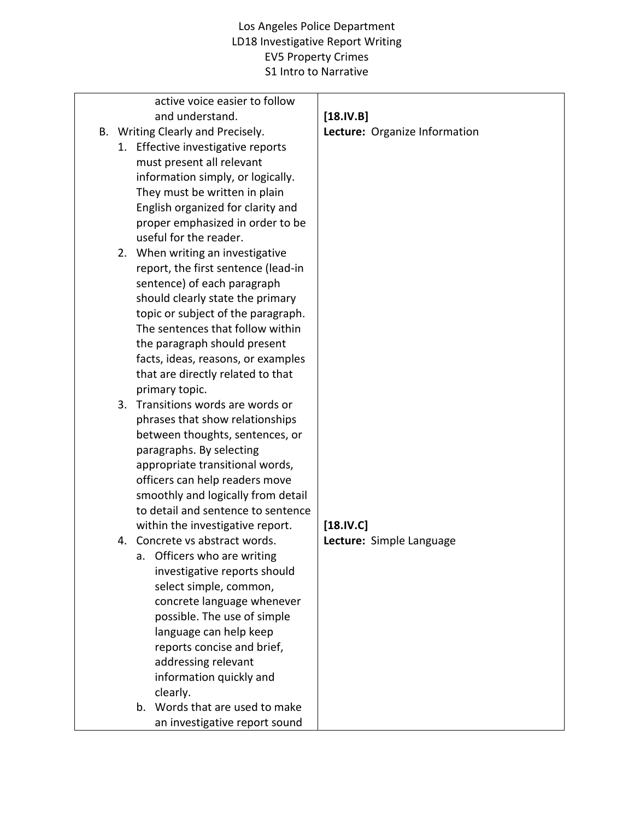| active voice easier to follow<br>and understand. | $[18.IV.B]$                   |
|--------------------------------------------------|-------------------------------|
|                                                  |                               |
| B. Writing Clearly and Precisely.                | Lecture: Organize Information |
| 1. Effective investigative reports               |                               |
| must present all relevant                        |                               |
| information simply, or logically.                |                               |
| They must be written in plain                    |                               |
| English organized for clarity and                |                               |
| proper emphasized in order to be                 |                               |
| useful for the reader.                           |                               |
| 2. When writing an investigative                 |                               |
| report, the first sentence (lead-in              |                               |
| sentence) of each paragraph                      |                               |
| should clearly state the primary                 |                               |
| topic or subject of the paragraph.               |                               |
| The sentences that follow within                 |                               |
| the paragraph should present                     |                               |
| facts, ideas, reasons, or examples               |                               |
| that are directly related to that                |                               |
| primary topic.                                   |                               |
| 3. Transitions words are words or                |                               |
| phrases that show relationships                  |                               |
| between thoughts, sentences, or                  |                               |
| paragraphs. By selecting                         |                               |
| appropriate transitional words,                  |                               |
| officers can help readers move                   |                               |
| smoothly and logically from detail               |                               |
| to detail and sentence to sentence               |                               |
| within the investigative report.                 | [18.IV.C]                     |
| 4. Concrete vs abstract words.                   | Lecture: Simple Language      |
| Officers who are writing<br>a.                   |                               |
| investigative reports should                     |                               |
| select simple, common,                           |                               |
| concrete language whenever                       |                               |
| possible. The use of simple                      |                               |
| language can help keep                           |                               |
| reports concise and brief,                       |                               |
| addressing relevant                              |                               |
| information quickly and                          |                               |
| clearly.                                         |                               |
| Words that are used to make<br>b.                |                               |
| an investigative report sound                    |                               |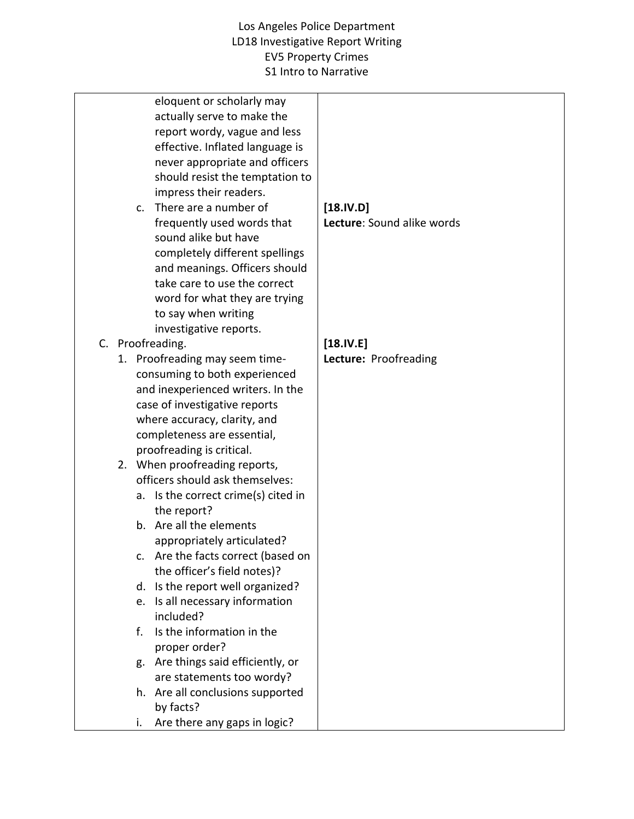| eloquent or scholarly may<br>actually serve to make the<br>report wordy, vague and less<br>effective. Inflated language is<br>never appropriate and officers<br>should resist the temptation to<br>impress their readers.<br>There are a number of<br>$\mathsf{C}$ .<br>frequently used words that<br>sound alike but have<br>completely different spellings<br>and meanings. Officers should<br>take care to use the correct | $[18.IV.D]$<br>Lecture: Sound alike words |
|-------------------------------------------------------------------------------------------------------------------------------------------------------------------------------------------------------------------------------------------------------------------------------------------------------------------------------------------------------------------------------------------------------------------------------|-------------------------------------------|
| word for what they are trying                                                                                                                                                                                                                                                                                                                                                                                                 |                                           |
| to say when writing                                                                                                                                                                                                                                                                                                                                                                                                           |                                           |
| investigative reports.                                                                                                                                                                                                                                                                                                                                                                                                        |                                           |
| C. Proofreading.                                                                                                                                                                                                                                                                                                                                                                                                              | $[18.$                                    |
| 1. Proofreading may seem time-                                                                                                                                                                                                                                                                                                                                                                                                | Lecture: Proofreading                     |
| consuming to both experienced                                                                                                                                                                                                                                                                                                                                                                                                 |                                           |
| and inexperienced writers. In the                                                                                                                                                                                                                                                                                                                                                                                             |                                           |
| case of investigative reports                                                                                                                                                                                                                                                                                                                                                                                                 |                                           |
| where accuracy, clarity, and                                                                                                                                                                                                                                                                                                                                                                                                  |                                           |
| completeness are essential,                                                                                                                                                                                                                                                                                                                                                                                                   |                                           |
| proofreading is critical.                                                                                                                                                                                                                                                                                                                                                                                                     |                                           |
| 2. When proofreading reports,                                                                                                                                                                                                                                                                                                                                                                                                 |                                           |
| officers should ask themselves:                                                                                                                                                                                                                                                                                                                                                                                               |                                           |
| Is the correct crime(s) cited in<br>а.                                                                                                                                                                                                                                                                                                                                                                                        |                                           |
| the report?                                                                                                                                                                                                                                                                                                                                                                                                                   |                                           |
| b. Are all the elements                                                                                                                                                                                                                                                                                                                                                                                                       |                                           |
| appropriately articulated?                                                                                                                                                                                                                                                                                                                                                                                                    |                                           |
| c. Are the facts correct (based on                                                                                                                                                                                                                                                                                                                                                                                            |                                           |
| the officer's field notes)?                                                                                                                                                                                                                                                                                                                                                                                                   |                                           |
| Is the report well organized?<br>d.                                                                                                                                                                                                                                                                                                                                                                                           |                                           |
| Is all necessary information<br>e.                                                                                                                                                                                                                                                                                                                                                                                            |                                           |
| included?                                                                                                                                                                                                                                                                                                                                                                                                                     |                                           |
| Is the information in the<br>$f_{\perp}$                                                                                                                                                                                                                                                                                                                                                                                      |                                           |
| proper order?                                                                                                                                                                                                                                                                                                                                                                                                                 |                                           |
| Are things said efficiently, or<br>g.                                                                                                                                                                                                                                                                                                                                                                                         |                                           |
| are statements too wordy?                                                                                                                                                                                                                                                                                                                                                                                                     |                                           |
| h. Are all conclusions supported                                                                                                                                                                                                                                                                                                                                                                                              |                                           |
| by facts?                                                                                                                                                                                                                                                                                                                                                                                                                     |                                           |
| Are there any gaps in logic?<br>i.                                                                                                                                                                                                                                                                                                                                                                                            |                                           |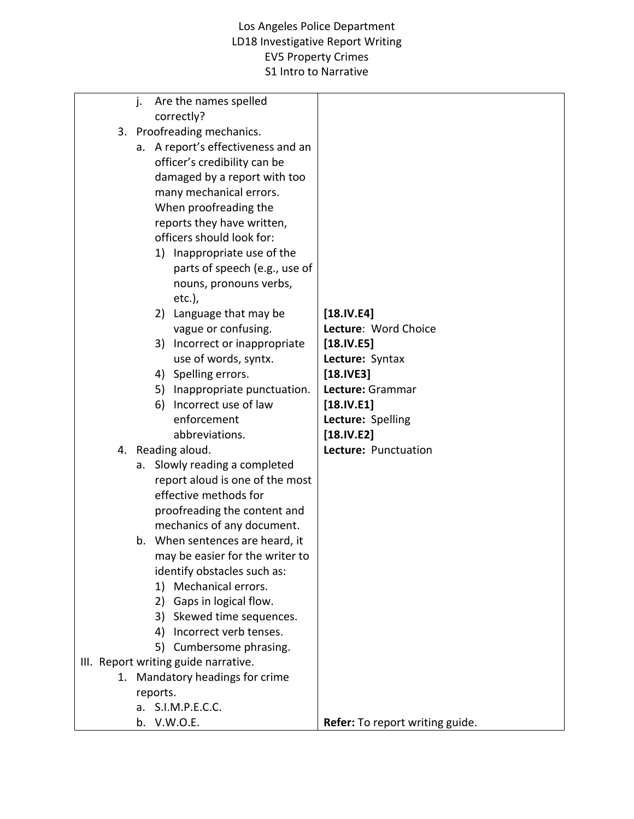|  | j.       |    | Are the names spelled                |                                 |
|--|----------|----|--------------------------------------|---------------------------------|
|  |          |    | correctly?                           |                                 |
|  |          |    | 3. Proofreading mechanics.           |                                 |
|  |          |    | a. A report's effectiveness and an   |                                 |
|  |          |    | officer's credibility can be         |                                 |
|  |          |    | damaged by a report with too         |                                 |
|  |          |    | many mechanical errors.              |                                 |
|  |          |    | When proofreading the                |                                 |
|  |          |    | reports they have written,           |                                 |
|  |          |    | officers should look for:            |                                 |
|  |          |    | 1) Inappropriate use of the          |                                 |
|  |          |    | parts of speech (e.g., use of        |                                 |
|  |          |    | nouns, pronouns verbs,               |                                 |
|  |          |    | $etc.$ ),                            |                                 |
|  |          |    | 2) Language that may be              | $[18.1V.E4]$                    |
|  |          |    | vague or confusing.                  | Lecture: Word Choice            |
|  |          |    | 3) Incorrect or inappropriate        | $[18.1V.E5]$                    |
|  |          |    | use of words, syntx.                 | Lecture: Syntax                 |
|  |          |    | 4) Spelling errors.                  | $[18.1VE3]$                     |
|  |          |    | 5) Inappropriate punctuation.        | Lecture: Grammar                |
|  |          | 6) | Incorrect use of law                 | $[18.1V.E1]$                    |
|  |          |    | enforcement                          | Lecture: Spelling               |
|  |          |    | abbreviations.                       | $[18.1V.E2]$                    |
|  |          |    | 4. Reading aloud.                    | Lecture: Punctuation            |
|  |          |    | a. Slowly reading a completed        |                                 |
|  |          |    | report aloud is one of the most      |                                 |
|  |          |    | effective methods for                |                                 |
|  |          |    | proofreading the content and         |                                 |
|  |          |    | mechanics of any document.           |                                 |
|  |          |    | b. When sentences are heard, it      |                                 |
|  |          |    | may be easier for the writer to      |                                 |
|  |          |    | identify obstacles such as:          |                                 |
|  |          | 1) | Mechanical errors.                   |                                 |
|  |          |    | 2) Gaps in logical flow.             |                                 |
|  |          | 3) | Skewed time sequences.               |                                 |
|  |          |    | 4) Incorrect verb tenses.            |                                 |
|  |          |    | 5) Cumbersome phrasing.              |                                 |
|  |          |    | III. Report writing guide narrative. |                                 |
|  |          |    | 1. Mandatory headings for crime      |                                 |
|  | reports. |    |                                      |                                 |
|  |          |    | a. S.I.M.P.E.C.C.                    |                                 |
|  |          |    | b. V.W.O.E.                          | Refer: To report writing guide. |
|  |          |    |                                      |                                 |